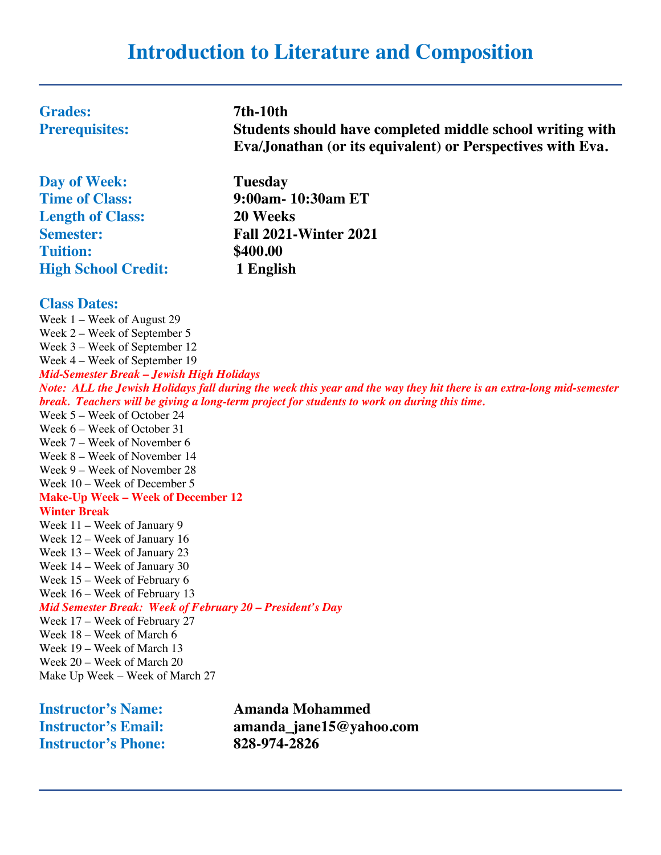# **Introduction to Literature and Composition**

| <b>Grades:</b><br><b>Prerequisites:</b> | <b>7th-10th</b><br>Students should have completed middle school writing with<br>Eva/Jonathan (or its equivalent) or Perspectives with Eva. |
|-----------------------------------------|--------------------------------------------------------------------------------------------------------------------------------------------|
| Day of Week:                            | <b>Tuesday</b>                                                                                                                             |
| <b>Time of Class:</b>                   | 9:00am- 10:30am ET                                                                                                                         |

**Length of Class: 20 Weeks Tuition: \$400.00 High School Credit: 1 English**

**Semester: Fall 2021-Winter 2021**

#### **Class Dates:**

Week 1 – Week of August 29 Week 2 – Week of September 5 Week 3 – Week of September 12 Week 4 – Week of September 19 *Mid-Semester Break – Jewish High Holidays Note: ALL the Jewish Holidays fall during the week this year and the way they hit there is an extra-long mid-semester break. Teachers will be giving a long-term project for students to work on during this time.* Week 5 – Week of October 24 Week 6 – Week of October 31 Week 7 – Week of November 6 Week 8 – Week of November 14 Week 9 – Week of November 28 Week 10 – Week of December 5 **Make-Up Week – Week of December 12 Winter Break** Week 11 – Week of January 9 Week 12 – Week of January 16 Week 13 – Week of January 23 Week 14 – Week of January 30 Week 15 – Week of February 6 Week 16 – Week of February 13 *Mid Semester Break: Week of February 20 – President's Day* Week 17 – Week of February 27 Week 18 – Week of March 6 Week 19 – Week of March 13 Week 20 – Week of March 20 Make Up Week – Week of March 27

| <b>Instructor's Name:</b>  | <b>Amanda Mohammed</b>  |
|----------------------------|-------------------------|
| <b>Instructor's Email:</b> | amanda_jane15@yahoo.com |
| <b>Instructor's Phone:</b> | 828-974-2826            |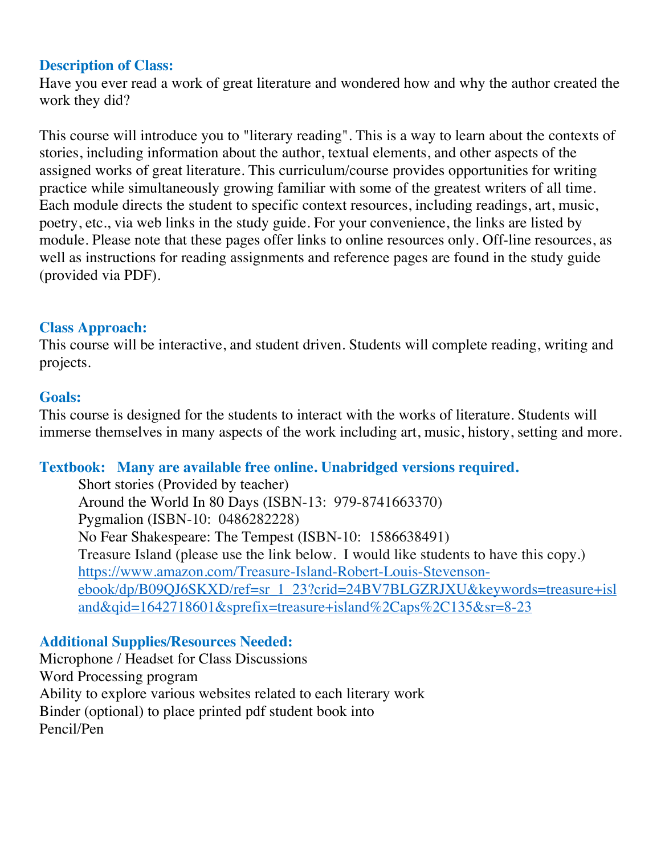# **Description of Class:**

Have you ever read a work of great literature and wondered how and why the author created the work they did?

This course will introduce you to "literary reading". This is a way to learn about the contexts of stories, including information about the author, textual elements, and other aspects of the assigned works of great literature. This curriculum/course provides opportunities for writing practice while simultaneously growing familiar with some of the greatest writers of all time. Each module directs the student to specific context resources, including readings, art, music, poetry, etc., via web links in the study guide. For your convenience, the links are listed by module. Please note that these pages offer links to online resources only. Off-line resources, as well as instructions for reading assignments and reference pages are found in the study guide (provided via PDF).

## **Class Approach:**

This course will be interactive, and student driven. Students will complete reading, writing and projects.

### **Goals:**

This course is designed for the students to interact with the works of literature. Students will immerse themselves in many aspects of the work including art, music, history, setting and more.

# **Textbook: Many are available free online. Unabridged versions required.**

Short stories (Provided by teacher) Around the World In 80 Days (ISBN-13: 979-8741663370) Pygmalion (ISBN-10: 0486282228) No Fear Shakespeare: The Tempest (ISBN-10: 1586638491) Treasure Island (please use the link below. I would like students to have this copy.) https://www.amazon.com/Treasure-Island-Robert-Louis-Stevensonebook/dp/B09QJ6SKXD/ref=sr\_1\_23?crid=24BV7BLGZRJXU&keywords=treasure+isl and&qid=1642718601&sprefix=treasure+island%2Caps%2C135&sr=8-23

# **Additional Supplies/Resources Needed:**

Microphone / Headset for Class Discussions Word Processing program Ability to explore various websites related to each literary work Binder (optional) to place printed pdf student book into Pencil/Pen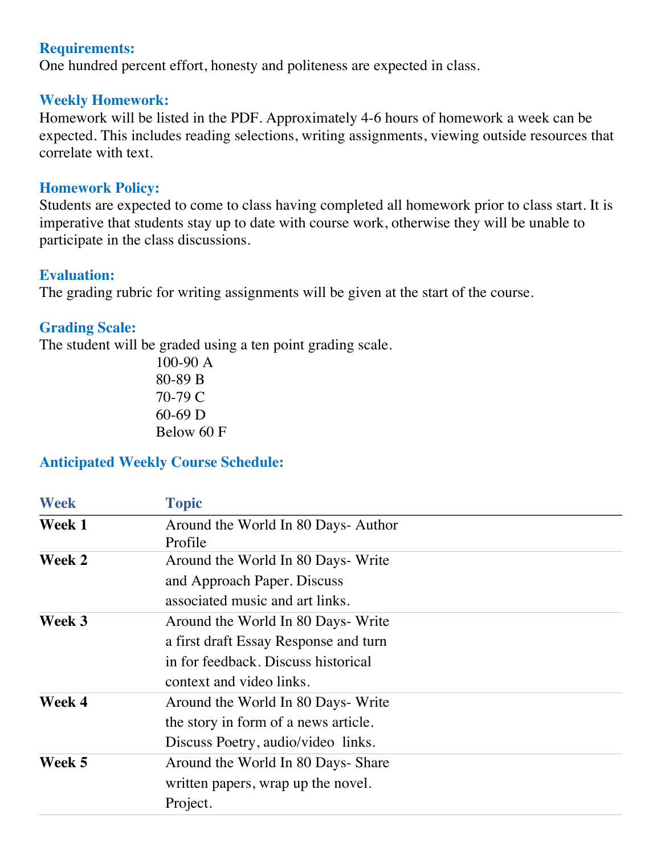### **Requirements:**

One hundred percent effort, honesty and politeness are expected in class.

#### **Weekly Homework:**

Homework will be listed in the PDF. Approximately 4-6 hours of homework a week can be expected. This includes reading selections, writing assignments, viewing outside resources that correlate with text.

#### **Homework Policy:**

Students are expected to come to class having completed all homework prior to class start. It is imperative that students stay up to date with course work, otherwise they will be unable to participate in the class discussions.

### **Evaluation:**

The grading rubric for writing assignments will be given at the start of the course.

# **Grading Scale:**

The student will be graded using a ten point grading scale.

100-90 A 80-89 B 70-79 C 60-69 D Below 60 F

# **Anticipated Weekly Course Schedule:**

| <b>Week</b>   | <b>Topic</b>                          |
|---------------|---------------------------------------|
| Week 1        | Around the World In 80 Days-Author    |
|               | Profile                               |
| <b>Week 2</b> | Around the World In 80 Days- Write    |
|               | and Approach Paper. Discuss           |
|               | associated music and art links.       |
| Week 3        | Around the World In 80 Days- Write    |
|               | a first draft Essay Response and turn |
|               | in for feedback. Discuss historical   |
|               | context and video links.              |
| Week 4        | Around the World In 80 Days- Write    |
|               | the story in form of a news article.  |
|               | Discuss Poetry, audio/video links.    |
| Week 5        | Around the World In 80 Days- Share    |
|               | written papers, wrap up the novel.    |
|               | Project.                              |